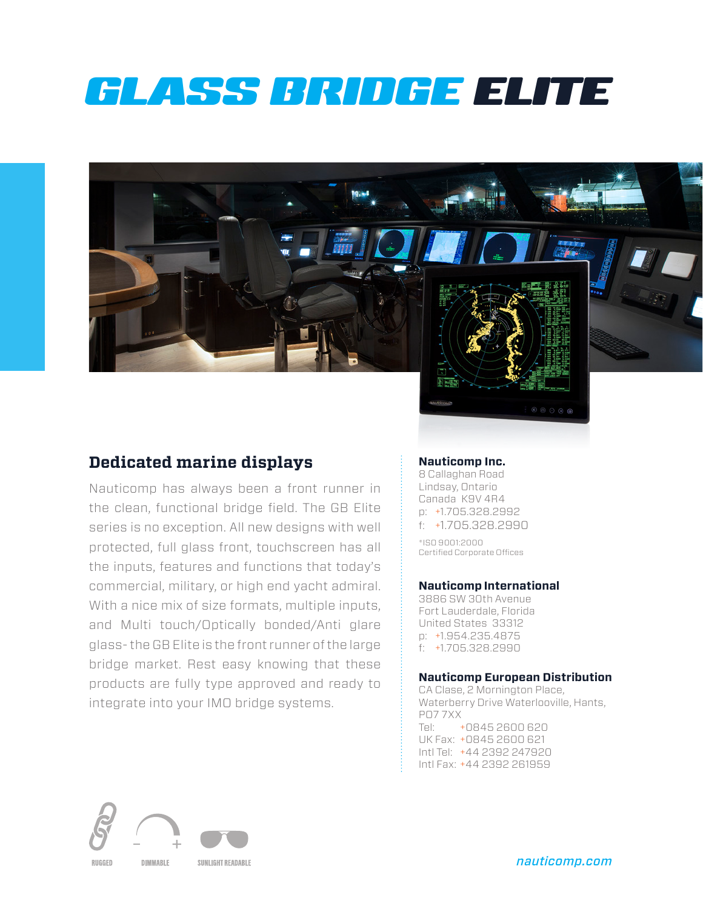# GLASS BRIDGE ELITE

### **Dedicated marine displays**

Nauticomp has always been a front runner in the clean, functional bridge field. The GB Elite series is no exception. All new designs with well protected, full glass front, touchscreen has all the inputs, features and functions that today's commercial, military, or high end yacht admiral. With a nice mix of size formats, multiple inputs, and Multi touch/Optically bonded/Anti glare glass- the GB Elite is the front runner of the large bridge market. Rest easy knowing that these products are fully type approved and ready to integrate into your IMO bridge systems.

### **Nauticomp Inc.**

8 Callaghan Road Lindsay, Ontario Canada K9V 4R4 p: +1.705.328.2992 f: +1.705.328.2990

\*ISO 9001:2000 Certified Corporate Offices

#### **Nauticomp International**

3886 SW 30th Avenue Fort Lauderdale, Florida United States 33312 p: +1.954.235.4875 f: +1.705.328.2990

#### **Nauticomp European Distribution**

CA Clase, 2 Mornington Place, Waterberry Drive Waterlooville, Hants, PO7 7XX Tel: +0845 2600 620 UK Fax: +0845 2600 621 Intl Tel: +44 2392 247920 Intl Fax: +44 2392 261959



*nauticomp.com*